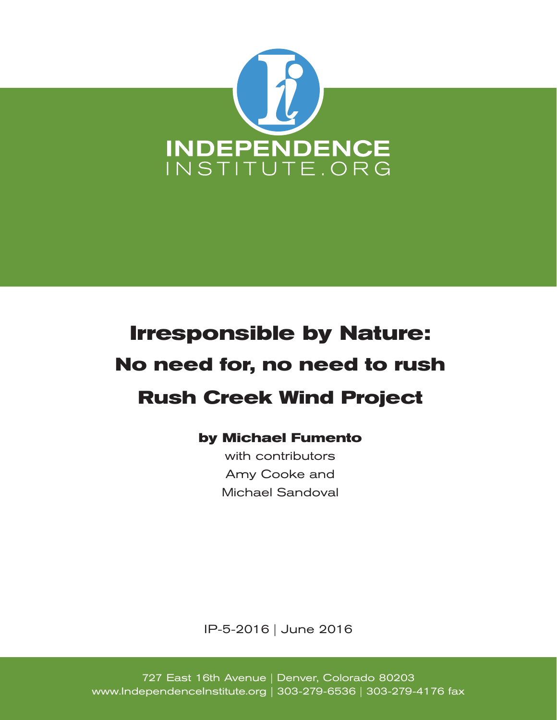

# **Irresponsible by Nature: No need for, no need to rush Rush Creek Wind Project**

#### **by Michael Fumento**

with contributors Amy Cooke and Michael Sandoval

IP-5-2016 | June 2016

727 East 16th Avenue | Denver, Colorado 80203 www.IndependenceInstitute.org | 303-279-6536 | 303-279-4176 fax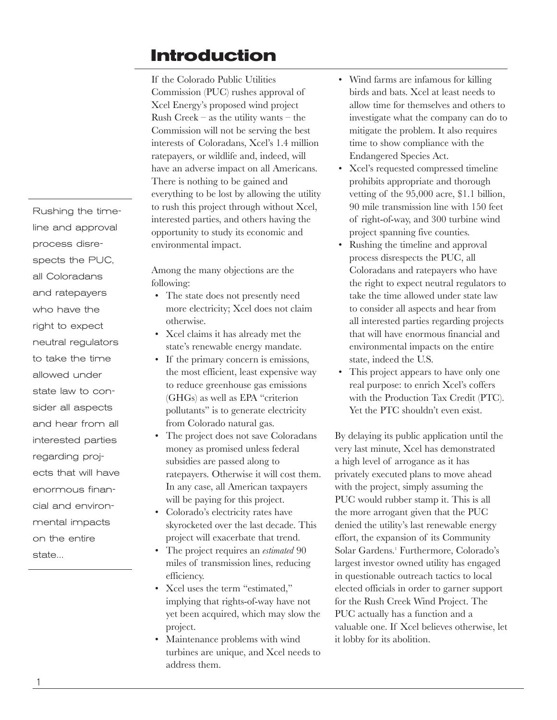### **Introduction**

If the Colorado Public Utilities Commission (PUC) rushes approval of Xcel Energy's proposed wind project Rush Creek – as the utility wants – the Commission will not be serving the best interests of Coloradans, Xcel's 1.4 million ratepayers, or wildlife and, indeed, will have an adverse impact on all Americans. There is nothing to be gained and everything to be lost by allowing the utility to rush this project through without Xcel, interested parties, and others having the opportunity to study its economic and environmental impact.

Among the many objections are the following:

- The state does not presently need more electricity; Xcel does not claim otherwise.
- Xcel claims it has already met the state's renewable energy mandate.
- If the primary concern is emissions, the most efficient, least expensive way to reduce greenhouse gas emissions (GHGs) as well as EPA "criterion pollutants" is to generate electricity from Colorado natural gas.
- The project does not save Coloradans money as promised unless federal subsidies are passed along to ratepayers. Otherwise it will cost them. In any case, all American taxpayers will be paying for this project.
- Colorado's electricity rates have skyrocketed over the last decade. This project will exacerbate that trend.
- The project requires an *estimated* 90 miles of transmission lines, reducing efficiency.
- Xcel uses the term "estimated," implying that rights-of-way have not yet been acquired, which may slow the project.
- Maintenance problems with wind turbines are unique, and Xcel needs to address them.
- Wind farms are infamous for killing birds and bats. Xcel at least needs to allow time for themselves and others to investigate what the company can do to mitigate the problem. It also requires time to show compliance with the Endangered Species Act.
- Xcel's requested compressed timeline prohibits appropriate and thorough vetting of the 95,000 acre, \$1.1 billion, 90 mile transmission line with 150 feet of right-of-way, and 300 turbine wind project spanning five counties.
- Rushing the timeline and approval process disrespects the PUC, all Coloradans and ratepayers who have the right to expect neutral regulators to take the time allowed under state law to consider all aspects and hear from all interested parties regarding projects that will have enormous financial and environmental impacts on the entire state, indeed the U.S.
- This project appears to have only one real purpose: to enrich Xcel's coffers with the Production Tax Credit (PTC). Yet the PTC shouldn't even exist.

By delaying its public application until the very last minute, Xcel has demonstrated a high level of arrogance as it has privately executed plans to move ahead with the project, simply assuming the PUC would rubber stamp it. This is all the more arrogant given that the PUC denied the utility's last renewable energy effort, the expansion of its Community Solar Gardens.<sup>1</sup> Furthermore, Colorado's largest investor owned utility has engaged in questionable outreach tactics to local elected officials in order to garner support for the Rush Creek Wind Project. The PUC actually has a function and a valuable one. If Xcel believes otherwise, let it lobby for its abolition.

Rushing the timeline and approval process disrespects the PUC, all Coloradans and ratepayers who have the right to expect neutral regulators to take the time allowed under state law to consider all aspects and hear from all interested parties regarding projects that will have enormous financial and environmental impacts on the entire state...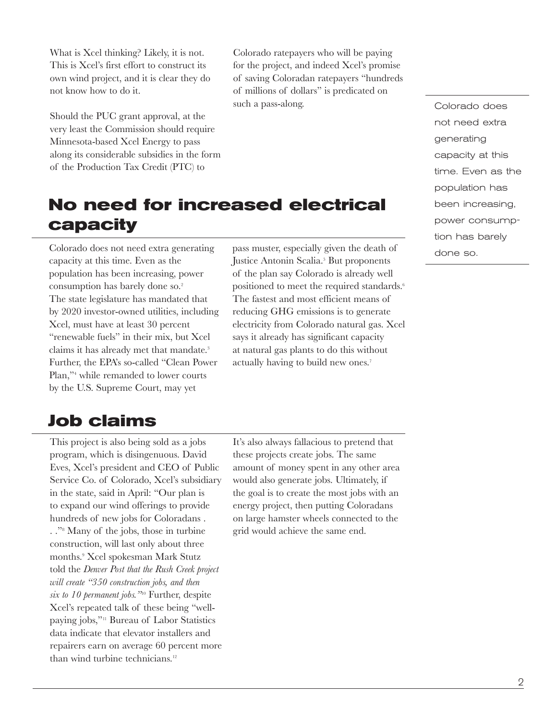What is Xcel thinking? Likely, it is not. This is Xcel's first effort to construct its own wind project, and it is clear they do not know how to do it.

Should the PUC grant approval, at the very least the Commission should require Minnesota-based Xcel Energy to pass along its considerable subsidies in the form of the Production Tax Credit (PTC) to

Colorado ratepayers who will be paying for the project, and indeed Xcel's promise of saving Coloradan ratepayers "hundreds of millions of dollars" is predicated on such a pass-along. The colorado does

### **No need for increased electrical capacity**

Colorado does not need extra generating capacity at this time. Even as the population has been increasing, power consumption has barely done so.<sup>2</sup> The state legislature has mandated that by 2020 investor-owned utilities, including Xcel, must have at least 30 percent "renewable fuels" in their mix, but Xcel claims it has already met that mandate.<sup>3</sup> Further, the EPA's so-called "Clean Power Plan,"4 while remanded to lower courts by the U.S. Supreme Court, may yet

#### **Job claims**

This project is also being sold as a jobs program, which is disingenuous. David Eves, Xcel's president and CEO of Public Service Co. of Colorado, Xcel's subsidiary in the state, said in April: "Our plan is to expand our wind offerings to provide hundreds of new jobs for Coloradans . . ."8 Many of the jobs, those in turbine construction, will last only about three months.9 Xcel spokesman Mark Stutz told the *Denver Post that the Rush Creek project will create "350 construction jobs, and then six to 10 permanent jobs."*10 Further, despite Xcel's repeated talk of these being "wellpaying jobs,"11 Bureau of Labor Statistics data indicate that elevator installers and repairers earn on average 60 percent more than wind turbine technicians.<sup>12</sup>

pass muster, especially given the death of Justice Antonin Scalia.<sup>5</sup> But proponents of the plan say Colorado is already well positioned to meet the required standards.<sup>6</sup> The fastest and most efficient means of reducing GHG emissions is to generate electricity from Colorado natural gas. Xcel says it already has significant capacity at natural gas plants to do this without actually having to build new ones.7

not need extra generating capacity at this time. Even as the population has been increasing, power consumption has barely done so.

It's also always fallacious to pretend that these projects create jobs. The same amount of money spent in any other area would also generate jobs. Ultimately, if the goal is to create the most jobs with an energy project, then putting Coloradans on large hamster wheels connected to the grid would achieve the same end.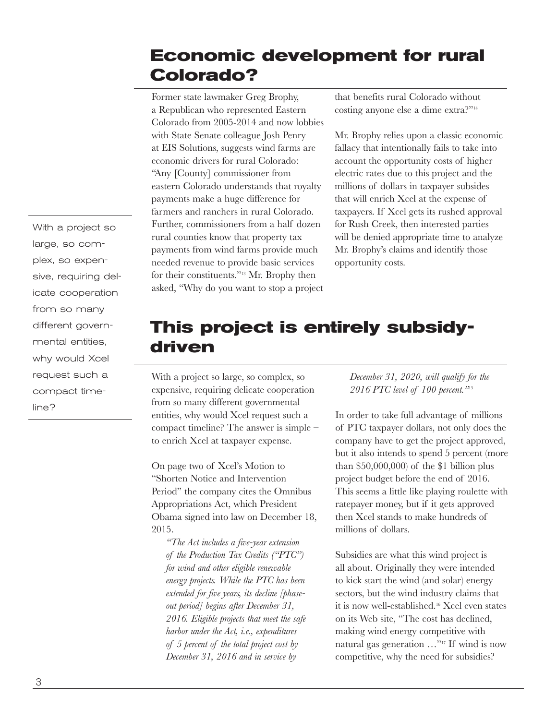### **Economic development for rural Colorado?**

Former state lawmaker Greg Brophy, a Republican who represented Eastern Colorado from 2005-2014 and now lobbies with State Senate colleague Josh Penry at EIS Solutions, suggests wind farms are economic drivers for rural Colorado: "Any [County] commissioner from eastern Colorado understands that royalty payments make a huge difference for farmers and ranchers in rural Colorado. Further, commissioners from a half dozen rural counties know that property tax payments from wind farms provide much needed revenue to provide basic services for their constituents."13 Mr. Brophy then asked, "Why do you want to stop a project

that benefits rural Colorado without costing anyone else a dime extra?"14

Mr. Brophy relies upon a classic economic fallacy that intentionally fails to take into account the opportunity costs of higher electric rates due to this project and the millions of dollars in taxpayer subsides that will enrich Xcel at the expense of taxpayers. If Xcel gets its rushed approval for Rush Creek, then interested parties will be denied appropriate time to analyze Mr. Brophy's claims and identify those opportunity costs.

### **This project is entirely subsidydriven**

With a project so large, so complex, so expensive, requiring delicate cooperation from so many different governmental entities, why would Xcel request such a compact timeline? The answer is simple – to enrich Xcel at taxpayer expense.

On page two of Xcel's Motion to "Shorten Notice and Intervention Period" the company cites the Omnibus Appropriations Act, which President Obama signed into law on December 18, 2015.

*"The Act includes a five-year extension of the Production Tax Credits ("PTC") for wind and other eligible renewable energy projects. While the PTC has been extended for five years, its decline [phaseout period] begins after December 31, 2016. Eligible projects that meet the safe harbor under the Act, i.e., expenditures of 5 percent of the total project cost by December 31, 2016 and in service by* 

*December 31, 2020, will qualify for the 2016 PTC level of 100 percent."*<sup>15</sup>

In order to take full advantage of millions of PTC taxpayer dollars, not only does the company have to get the project approved, but it also intends to spend 5 percent (more than \$50,000,000) of the \$1 billion plus project budget before the end of 2016. This seems a little like playing roulette with ratepayer money, but if it gets approved then Xcel stands to make hundreds of millions of dollars.

Subsidies are what this wind project is all about. Originally they were intended to kick start the wind (and solar) energy sectors, but the wind industry claims that it is now well-established.16 Xcel even states on its Web site, "The cost has declined, making wind energy competitive with natural gas generation …"17 If wind is now competitive, why the need for subsidies?

With a project so large, so complex, so expensive, requiring delicate cooperation from so many different governmental entities, why would Xcel request such a compact timeline?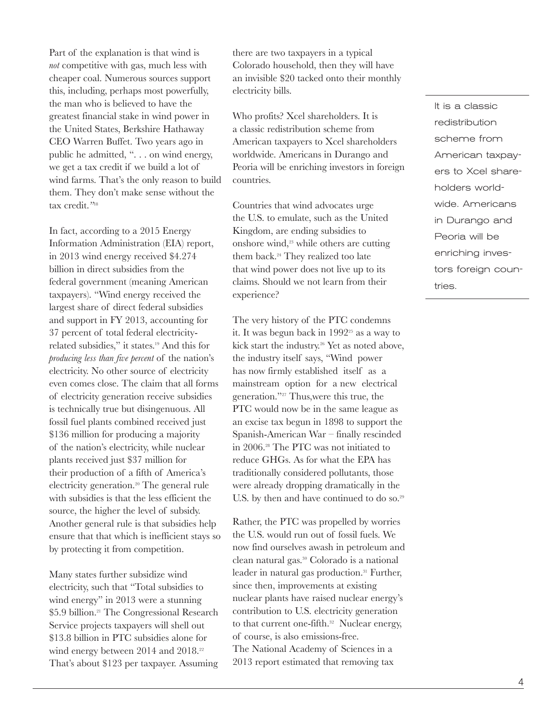Part of the explanation is that wind is *not* competitive with gas, much less with cheaper coal. Numerous sources support this, including, perhaps most powerfully, the man who is believed to have the greatest financial stake in wind power in the United States, Berkshire Hathaway CEO Warren Buffet. Two years ago in public he admitted, ". . . on wind energy, we get a tax credit if we build a lot of wind farms. That's the only reason to build them. They don't make sense without the tax credit.*"*<sup>18</sup>

In fact, according to a 2015 Energy Information Administration (EIA) report, in 2013 wind energy received \$4.274 billion in direct subsidies from the federal government (meaning American taxpayers). "Wind energy received the largest share of direct federal subsidies and support in FY 2013, accounting for 37 percent of total federal electricityrelated subsidies," it states.19 And this for *producing less than five percent* of the nation's electricity. No other source of electricity even comes close. The claim that all forms of electricity generation receive subsidies is technically true but disingenuous. All fossil fuel plants combined received just \$136 million for producing a majority of the nation's electricity, while nuclear plants received just \$37 million for their production of a fifth of America's electricity generation.20 The general rule with subsidies is that the less efficient the source, the higher the level of subsidy. Another general rule is that subsidies help ensure that that which is inefficient stays so by protecting it from competition.

Many states further subsidize wind electricity, such that "Total subsidies to wind energy" in 2013 were a stunning \$5.9 billion.21 The Congressional Research Service projects taxpayers will shell out \$13.8 billion in PTC subsidies alone for wind energy between 2014 and 2018.<sup>22</sup> That's about \$123 per taxpayer. Assuming there are two taxpayers in a typical Colorado household, then they will have an invisible \$20 tacked onto their monthly electricity bills.

Who profits? Xcel shareholders. It is a classic redistribution scheme from American taxpayers to Xcel shareholders worldwide. Americans in Durango and Peoria will be enriching investors in foreign countries.

Countries that wind advocates urge the U.S. to emulate, such as the United Kingdom, are ending subsidies to onshore wind,<sup>23</sup> while others are cutting them back.<sup>24</sup> They realized too late that wind power does not live up to its claims. Should we not learn from their experience?

The very history of the PTC condemns it. It was begun back in  $1992^{25}$  as a way to kick start the industry.26 Yet as noted above, the industry itself says, "Wind power has now firmly established itself as a mainstream option for a new electrical generation."27 Thus,were this true, the PTC would now be in the same league as an excise tax begun in 1898 to support the Spanish-American War – finally rescinded in 2006.28 The PTC was not initiated to reduce GHGs. As for what the EPA has traditionally considered pollutants, those were already dropping dramatically in the U.S. by then and have continued to do so.<sup>29</sup>

Rather, the PTC was propelled by worries the U.S. would run out of fossil fuels. We now find ourselves awash in petroleum and clean natural gas.30 Colorado is a national leader in natural gas production.<sup>31</sup> Further, since then, improvements at existing nuclear plants have raised nuclear energy's contribution to U.S. electricity generation to that current one-fifth.<sup>32</sup> Nuclear energy, of course, is also emissions-free. The National Academy of Sciences in a 2013 report estimated that removing tax

It is a classic redistribution scheme from American taxpayers to Xcel shareholders worldwide. Americans in Durango and Peoria will be enriching investors foreign countries.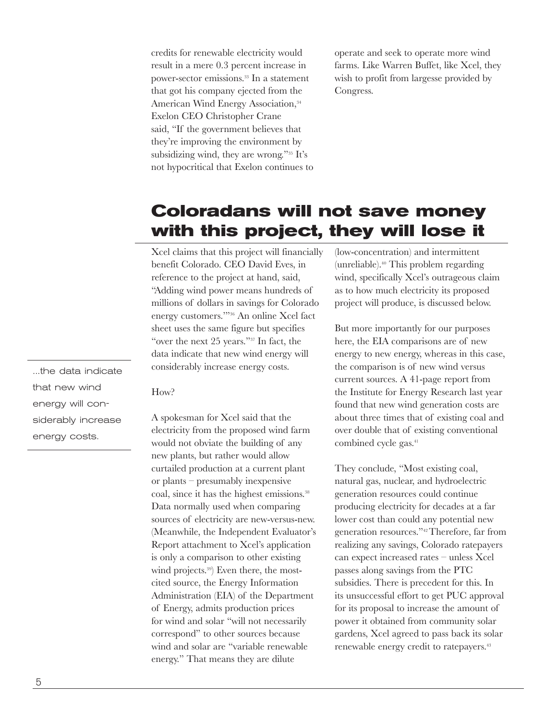credits for renewable electricity would result in a mere 0.3 percent increase in power-sector emissions.33 In a statement that got his company ejected from the American Wind Energy Association,<sup>34</sup> Exelon CEO Christopher Crane said, "If the government believes that they're improving the environment by subsidizing wind, they are wrong."35 It's not hypocritical that Exelon continues to operate and seek to operate more wind farms. Like Warren Buffet, like Xcel, they wish to profit from largesse provided by Congress.

#### **Coloradans will not save money with this project, they will lose it**

Xcel claims that this project will financially benefit Colorado. CEO David Eves, in reference to the project at hand, said, "Adding wind power means hundreds of millions of dollars in savings for Colorado energy customers.'"36 An online Xcel fact sheet uses the same figure but specifies "over the next 25 years."37 In fact, the data indicate that new wind energy will considerably increase energy costs.

#### How?

A spokesman for Xcel said that the electricity from the proposed wind farm would not obviate the building of any new plants, but rather would allow curtailed production at a current plant or plants – presumably inexpensive coal, since it has the highest emissions.<sup>38</sup> Data normally used when comparing sources of electricity are new-versus-new. (Meanwhile, the Independent Evaluator's Report attachment to Xcel's application is only a comparison to other existing wind projects.<sup>39</sup>) Even there, the mostcited source, the Energy Information Administration (EIA) of the Department of Energy, admits production prices for wind and solar "will not necessarily correspond" to other sources because wind and solar are "variable renewable energy." That means they are dilute

(low-concentration) and intermittent (unreliable).40 This problem regarding wind, specifically Xcel's outrageous claim as to how much electricity its proposed project will produce, is discussed below.

But more importantly for our purposes here, the EIA comparisons are of new energy to new energy, whereas in this case, the comparison is of new wind versus current sources. A 41-page report from the Institute for Energy Research last year found that new wind generation costs are about three times that of existing coal and over double that of existing conventional combined cycle gas.<sup>41</sup>

They conclude, "Most existing coal, natural gas, nuclear, and hydroelectric generation resources could continue producing electricity for decades at a far lower cost than could any potential new generation resources."42 Therefore, far from realizing any savings, Colorado ratepayers can expect increased rates – unless Xcel passes along savings from the PTC subsidies. There is precedent for this. In its unsuccessful effort to get PUC approval for its proposal to increase the amount of power it obtained from community solar gardens, Xcel agreed to pass back its solar renewable energy credit to ratepayers.<sup>43</sup>

...the data indicate that new wind energy will considerably increase energy costs.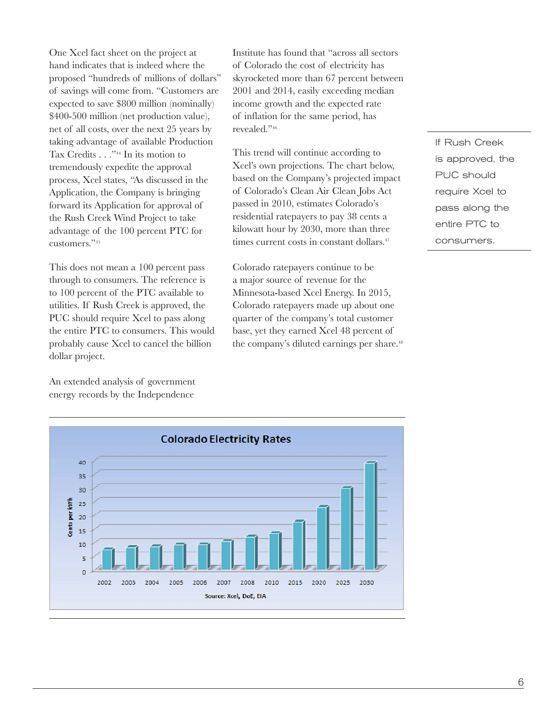One Xcel fact sheet on the project at hand indicates that is indeed where the proposed "hundreds of millions of dollars" of savings will come from. "Customers are expected to save \$800 million (nominally) \$400-500 million (net production value), net of all costs, over the next 25 years by taking advantage of available Production Tax Credits . . ."<sup>44</sup> In its motion to tremendously expedite the approval process, Xcel states, "As discussed in the Application, the Company is bringing forward its Application for approval of the Rush Creek Wind Project to take advantage of the 100 percent PTC for customers."45

This does not mean a 100 percent pass through to consumers. The reference is to 100 percent of the PTC available to utilities. If Rush Creek is approved, the PUC should require Xcel to pass along the entire PTC to consumers. This would probably cause Xcel to cancel the billion dollar project.

An extended analysis of government energy records by the Independence

Institute has found that "across all sectors of Colorado the cost of electricity has skyrocketed more than 67 percent between 2001 and 2014, easily exceeding median income growth and the expected rate of inflation for the same period, has revealed."46

This trend will continue according to Xcel's own projections. The chart below, based on the Company's projected impact of Colorado's Clean Air Clean Jobs Act passed in 2010, estimates Colorado's residential ratepayers to pay 38 cents a kilowatt hour by 2030, more than three times current costs in constant dollars.<sup>47</sup>

Colorado ratepayers continue to be a major source of revenue for the Minnesota-based Xcel Energy. In 2015, Colorado ratepayers made up about one quarter of the company's total customer base, yet they earned Xcel 48 percent of the company's diluted earnings per share.<sup>48</sup>

If Rush Creek is approved, the PUC should require Xcel to pass along the entire PTC to consumers.

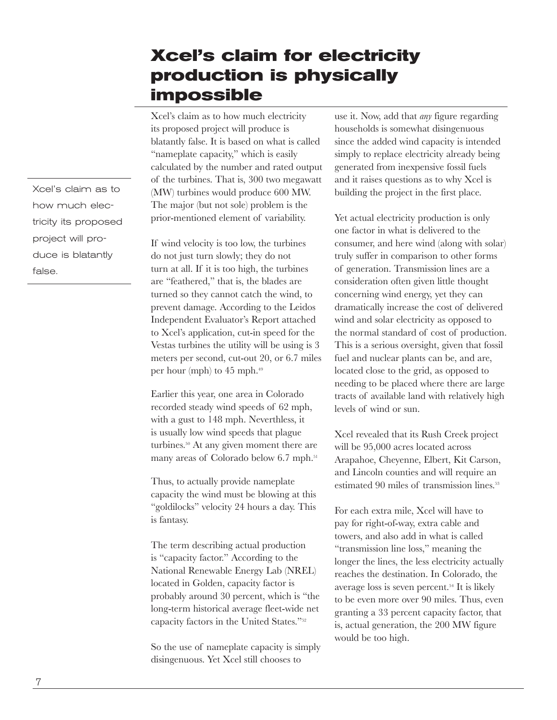#### **Xcel's claim for electricity production is physically impossible**

Xcel's claim as to how much electricity its proposed project will produce is blatantly false. It is based on what is called "nameplate capacity," which is easily calculated by the number and rated output of the turbines. That is, 300 two megawatt (MW) turbines would produce 600 MW. The major (but not sole) problem is the prior-mentioned element of variability.

If wind velocity is too low, the turbines do not just turn slowly; they do not turn at all. If it is too high, the turbines are "feathered," that is, the blades are turned so they cannot catch the wind, to prevent damage. According to the Leidos Independent Evaluator's Report attached to Xcel's application, cut-in speed for the Vestas turbines the utility will be using is 3 meters per second, cut-out 20, or 6.7 miles per hour (mph) to 45 mph.49

Earlier this year, one area in Colorado recorded steady wind speeds of 62 mph, with a gust to 148 mph. Neverthless, it is usually low wind speeds that plague turbines.50 At any given moment there are many areas of Colorado below 6.7 mph.<sup>51</sup>

Thus, to actually provide nameplate capacity the wind must be blowing at this "goldilocks" velocity 24 hours a day. This is fantasy.

The term describing actual production is "capacity factor." According to the National Renewable Energy Lab (NREL) located in Golden, capacity factor is probably around 30 percent, which is "the long-term historical average fleet-wide net capacity factors in the United States."52

So the use of nameplate capacity is simply disingenuous. Yet Xcel still chooses to

use it. Now, add that *any* figure regarding households is somewhat disingenuous since the added wind capacity is intended simply to replace electricity already being generated from inexpensive fossil fuels and it raises questions as to why Xcel is building the project in the first place.

Yet actual electricity production is only one factor in what is delivered to the consumer, and here wind (along with solar) truly suffer in comparison to other forms of generation. Transmission lines are a consideration often given little thought concerning wind energy, yet they can dramatically increase the cost of delivered wind and solar electricity as opposed to the normal standard of cost of production. This is a serious oversight, given that fossil fuel and nuclear plants can be, and are, located close to the grid, as opposed to needing to be placed where there are large tracts of available land with relatively high levels of wind or sun.

Xcel revealed that its Rush Creek project will be 95,000 acres located across Arapahoe, Cheyenne, Elbert, Kit Carson, and Lincoln counties and will require an estimated 90 miles of transmission lines.<sup>53</sup>

For each extra mile, Xcel will have to pay for right-of-way, extra cable and towers, and also add in what is called "transmission line loss," meaning the longer the lines, the less electricity actually reaches the destination. In Colorado, the average loss is seven percent.54 It is likely to be even more over 90 miles. Thus, even granting a 33 percent capacity factor, that is, actual generation, the 200 MW figure would be too high.

Xcel's claim as to how much electricity its proposed project will produce is blatantly false.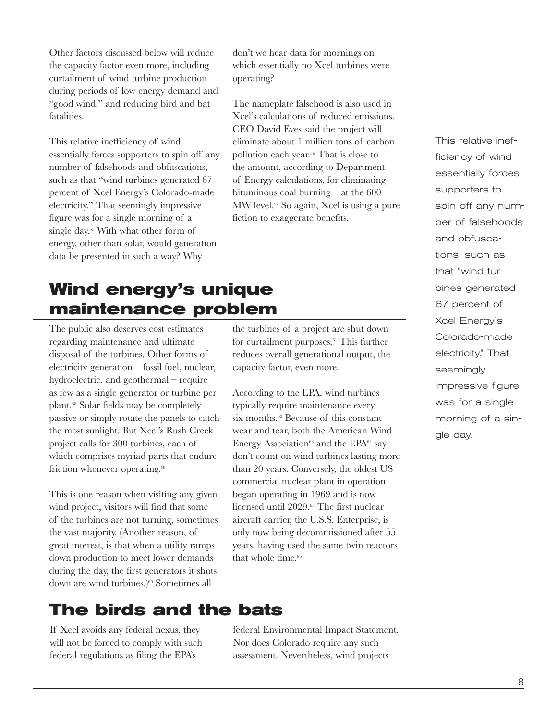Other factors discussed below will reduce the capacity factor even more, including curtailment of wind turbine production during periods of low energy demand and "good wind," and reducing bird and bat fatalities.

This relative inefficiency of wind essentially forces supporters to spin off any number of falsehoods and obfuscations, such as that "wind turbines generated 67 percent of Xcel Energy's Colorado-made electricity." That seemingly impressive figure was for a single morning of a single day.55 With what other form of energy, other than solar, would generation data be presented in such a way? Why

## **Wind energy's unique maintenance problem**

The public also deserves cost estimates regarding maintenance and ultimate disposal of the turbines. Other forms of electricity generation – fossil fuel, nuclear, hydroelectric, and geothermal – require as few as a single generator or turbine per plant.58 Solar fields may be completely passive or simply rotate the panels to catch the most sunlight. But Xcel's Rush Creek project calls for 300 turbines, each of which comprises myriad parts that endure friction whenever operating.59

This is one reason when visiting any given wind project, visitors will find that some of the turbines are not turning, sometimes the vast majority. (Another reason, of great interest, is that when a utility ramps down production to meet lower demands during the day, the first generators it shuts down are wind turbines.)60 Sometimes all

don't we hear data for mornings on which essentially no Xcel turbines were operating?

The nameplate falsehood is also used in Xcel's calculations of reduced emissions. CEO David Eves said the project will eliminate about 1 million tons of carbon pollution each year.56 That is close to the amount, according to Department of Energy calculations, for eliminating bituminous coal burning – at the 600 MW level.57 So again, Xcel is using a pure fiction to exaggerate benefits.

the turbines of a project are shut down for curtailment purposes.<sup>61</sup> This further reduces overall generational output, the capacity factor, even more.

According to the EPA, wind turbines typically require maintenance every six months.<sup>62</sup> Because of this constant wear and tear, both the American Wind Energy Association<sup>63</sup> and the EPA $^{64}$  say don't count on wind turbines lasting more than 20 years. Conversely, the oldest US commercial nuclear plant in operation began operating in 1969 and is now licensed until 2029.65 The first nuclear aircraft carrier, the U.S.S. Enterprise, is only now being decommissioned after 55 years, having used the same twin reactors that whole time. $66$ 

This relative inefficiency of wind essentially forces supporters to spin off any number of falsehoods and obfuscations, such as that "wind turbines generated 67 percent of Xcel Energy's Colorado-made electricity." That seemingly impressive figure was for a single morning of a single day.

#### **The birds and the bats**

If Xcel avoids any federal nexus, they will not be forced to comply with such federal regulations as filing the EPA's

federal Environmental Impact Statement. Nor does Colorado require any such assessment. Nevertheless, wind projects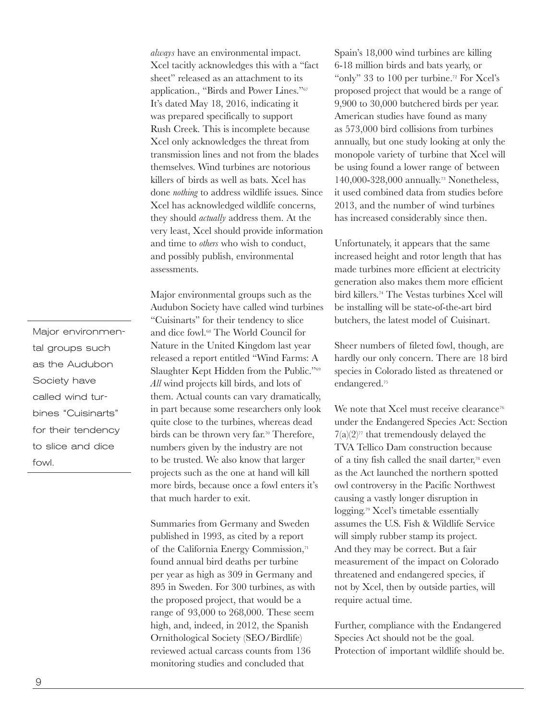*always* have an environmental impact. Xcel tacitly acknowledges this with a "fact sheet" released as an attachment to its application., "Birds and Power Lines."67 It's dated May 18, 2016, indicating it was prepared specifically to support Rush Creek. This is incomplete because Xcel only acknowledges the threat from transmission lines and not from the blades themselves. Wind turbines are notorious killers of birds as well as bats. Xcel has done *nothing* to address wildlife issues. Since Xcel has acknowledged wildlife concerns, they should *actually* address them. At the very least, Xcel should provide information and time to *others* who wish to conduct, and possibly publish, environmental assessments.

Major environmental groups such as the Audubon Society have called wind turbines "Cuisinarts" for their tendency to slice and dice fowl.68 The World Council for Nature in the United Kingdom last year released a report entitled "Wind Farms: A Slaughter Kept Hidden from the Public."69 *All* wind projects kill birds, and lots of them. Actual counts can vary dramatically, in part because some researchers only look quite close to the turbines, whereas dead birds can be thrown very far.<sup>70</sup> Therefore, numbers given by the industry are not to be trusted. We also know that larger projects such as the one at hand will kill more birds, because once a fowl enters it's that much harder to exit.

Summaries from Germany and Sweden published in 1993, as cited by a report of the California Energy Commission,<sup>71</sup> found annual bird deaths per turbine per year as high as 309 in Germany and 895 in Sweden. For 300 turbines, as with the proposed project, that would be a range of 93,000 to 268,000. These seem high, and, indeed, in 2012, the Spanish Ornithological Society (SEO/Birdlife) reviewed actual carcass counts from 136 monitoring studies and concluded that

Spain's 18,000 wind turbines are killing 6-18 million birds and bats yearly, or "only" 33 to 100 per turbine. 72 For Xcel's proposed project that would be a range of 9,900 to 30,000 butchered birds per year. American studies have found as many as 573,000 bird collisions from turbines annually, but one study looking at only the monopole variety of turbine that Xcel will be using found a lower range of between 140,000-328,000 annually.73 Nonetheless, it used combined data from studies before 2013, and the number of wind turbines has increased considerably since then.

Unfortunately, it appears that the same increased height and rotor length that has made turbines more efficient at electricity generation also makes them more efficient bird killers.74 The Vestas turbines Xcel will be installing will be state-of-the-art bird butchers, the latest model of Cuisinart.

Sheer numbers of fileted fowl, though, are hardly our only concern. There are 18 bird species in Colorado listed as threatened or endangered.75

We note that Xcel must receive clearance<sup>76</sup> under the Endangered Species Act: Section  $7(a)(2)^{77}$  that tremendously delayed the TVA Tellico Dam construction because of a tiny fish called the snail darter,<sup>78</sup> even as the Act launched the northern spotted owl controversy in the Pacific Northwest causing a vastly longer disruption in logging.79 Xcel's timetable essentially assumes the U.S. Fish & Wildlife Service will simply rubber stamp its project. And they may be correct. But a fair measurement of the impact on Colorado threatened and endangered species, if not by Xcel, then by outside parties, will require actual time.

Further, compliance with the Endangered Species Act should not be the goal. Protection of important wildlife should be.

Major environmental groups such as the Audubon Society have called wind turbines "Cuisinarts" for their tendency to slice and dice fowl.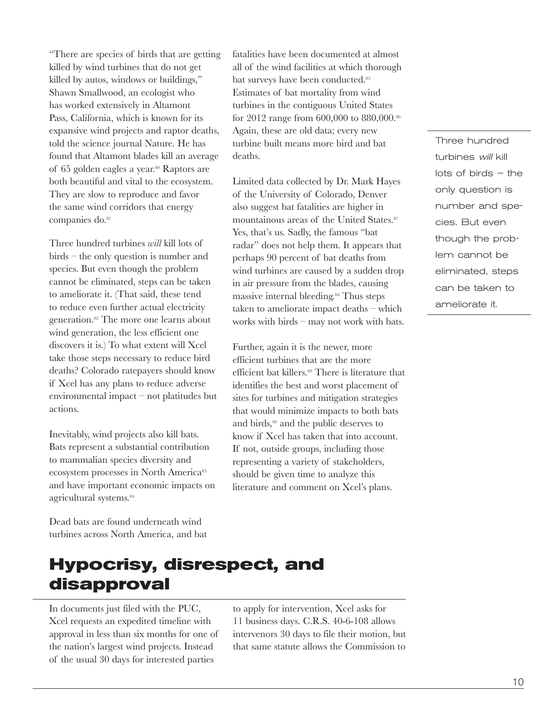"There are species of birds that are getting killed by wind turbines that do not get killed by autos, windows or buildings," Shawn Smallwood, an ecologist who has worked extensively in Altamont Pass, California, which is known for its expansive wind projects and raptor deaths, told the science journal Nature. He has found that Altamont blades kill an average of 65 golden eagles a year.80 Raptors are both beautiful and vital to the ecosystem. They are slow to reproduce and favor the same wind corridors that energy companies do.<sup>81</sup>

Three hundred turbines *will* kill lots of birds – the only question is number and species. But even though the problem cannot be eliminated, steps can be taken to ameliorate it. (That said, these tend to reduce even further actual electricity generation.82 The more one learns about wind generation, the less efficient one discovers it is.) To what extent will Xcel take those steps necessary to reduce bird deaths? Colorado ratepayers should know if Xcel has any plans to reduce adverse environmental impact – not platitudes but actions.

Inevitably, wind projects also kill bats. Bats represent a substantial contribution to mammalian species diversity and ecosystem processes in North America<sup>83</sup> and have important economic impacts on agricultural systems.<sup>84</sup>

Dead bats are found underneath wind turbines across North America, and bat

#### fatalities have been documented at almost all of the wind facilities at which thorough bat surveys have been conducted.<sup>85</sup> Estimates of bat mortality from wind turbines in the contiguous United States for 2012 range from 600,000 to 880,000.86 Again, these are old data; every new turbine built means more bird and bat deaths.

Limited data collected by Dr. Mark Hayes of the University of Colorado, Denver also suggest bat fatalities are higher in mountainous areas of the United States.87 Yes, that's us. Sadly, the famous "bat radar" does not help them. It appears that perhaps 90 percent of bat deaths from wind turbines are caused by a sudden drop in air pressure from the blades, causing massive internal bleeding.88 Thus steps taken to ameliorate impact deaths – which works with birds – may not work with bats.

Further, again it is the newer, more efficient turbines that are the more efficient bat killers.89 There is literature that identifies the best and worst placement of sites for turbines and mitigation strategies that would minimize impacts to both bats and birds,<sup>90</sup> and the public deserves to know if Xcel has taken that into account. If not, outside groups, including those representing a variety of stakeholders, should be given time to analyze this literature and comment on Xcel's plans.

Three hundred turbines will kill lots of birds – the only question is number and species. But even though the problem cannot be eliminated, steps can be taken to ameliorate it.

### **Hypocrisy, disrespect, and disapproval**

In documents just filed with the PUC, Xcel requests an expedited timeline with approval in less than six months for one of the nation's largest wind projects. Instead of the usual 30 days for interested parties

to apply for intervention, Xcel asks for 11 business days. C.R.S. 40-6-108 allows intervenors 30 days to file their motion, but that same statute allows the Commission to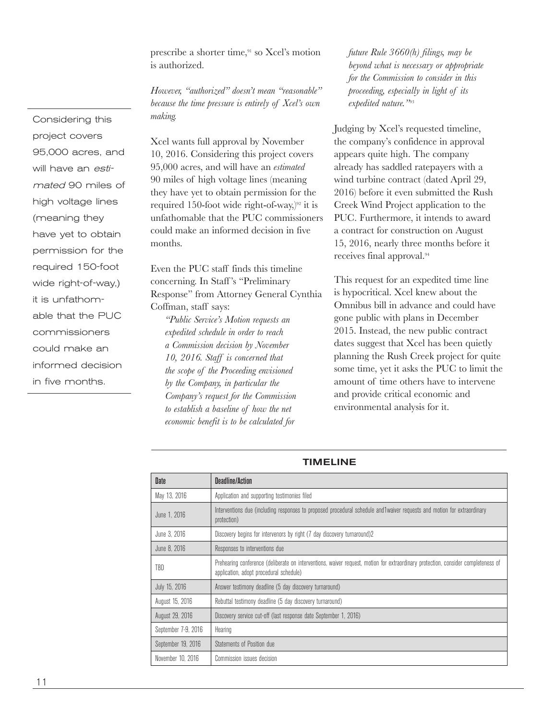prescribe a shorter time,91 so Xcel's motion is authorized.

*However, "authorized" doesn't mean "reasonable" because the time pressure is entirely of Xcel's own making.*

Xcel wants full approval by November 10, 2016. Considering this project covers 95,000 acres, and will have an *estimated* 90 miles of high voltage lines (meaning they have yet to obtain permission for the required 150-foot wide right-of-way,) $92$  it is unfathomable that the PUC commissioners could make an informed decision in five months.

Even the PUC staff finds this timeline concerning. In Staff 's "Preliminary Response" from Attorney General Cynthia Coffman, staff says:

*"Public Service's Motion requests an expedited schedule in order to reach a Commission decision by November 10, 2016. Staff is concerned that the scope of the Proceeding envisioned by the Company, in particular the Company's request for the Commission to establish a baseline of how the net economic benefit is to be calculated for* 

*future Rule 3660(h) filings, may be beyond what is necessary or appropriate for the Commission to consider in this proceeding, especially in light of its expedited nature."*<sup>93</sup>

Judging by Xcel's requested timeline, the company's confidence in approval appears quite high. The company already has saddled ratepayers with a wind turbine contract (dated April 29, 2016) before it even submitted the Rush Creek Wind Project application to the PUC. Furthermore, it intends to award a contract for construction on August 15, 2016, nearly three months before it receives final approval.94

This request for an expedited time line is hypocritical. Xcel knew about the Omnibus bill in advance and could have gone public with plans in December 2015. Instead, the new public contract dates suggest that Xcel has been quietly planning the Rush Creek project for quite some time, yet it asks the PUC to limit the amount of time others have to intervene and provide critical economic and environmental analysis for it.

| <b>Date</b>         | Deadline/Action                                                                                                                                                              |
|---------------------|------------------------------------------------------------------------------------------------------------------------------------------------------------------------------|
| May 13, 2016        | Application and supporting testimonies filed                                                                                                                                 |
| June 1, 2016        | Interventions due (including responses to proposed procedural schedule and1waiver requests and motion for extraordinary<br>protection)                                       |
| June 3, 2016        | Discovery begins for intervenors by right (7 day discovery turnaround)2                                                                                                      |
| June 8, 2016        | Responses to interventions due                                                                                                                                               |
| TBD                 | Prehearing conference (deliberate on interventions, waiver request, motion for extraordinary protection, consider completeness of<br>application, adopt procedural schedule) |
| July 15, 2016       | Answer testimony deadline (5 day discovery turnaround)                                                                                                                       |
| August 15, 2016     | Rebuttal testimony deadline (5 day discovery turnaround)                                                                                                                     |
| August 29, 2016     | Discovery service cut-off (last response date September 1, 2016)                                                                                                             |
| September 7-9, 2016 | Hearing                                                                                                                                                                      |
| September 19, 2016  | Statements of Position due                                                                                                                                                   |
| November 10, 2016   | Commission issues decision                                                                                                                                                   |

#### TIMELINE

Considering this project covers 95,000 acres, and will have an estimated 90 miles of high voltage lines (meaning they have yet to obtain permission for the required 150-foot wide right-of-way,) it is unfathomable that the PUC commissioners could make an informed decision in five months.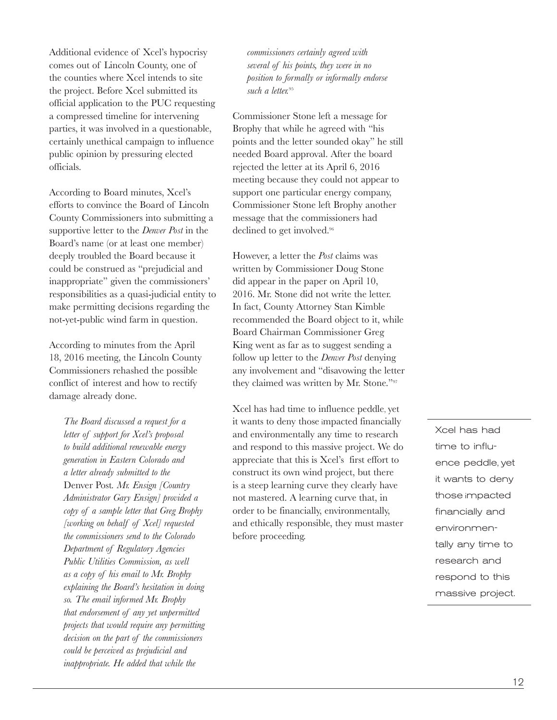Additional evidence of Xcel's hypocrisy comes out of Lincoln County, one of the counties where Xcel intends to site the project. Before Xcel submitted its official application to the PUC requesting a compressed timeline for intervening parties, it was involved in a questionable, certainly unethical campaign to influence public opinion by pressuring elected officials.

According to Board minutes, Xcel's efforts to convince the Board of Lincoln County Commissioners into submitting a supportive letter to the *Denver Post* in the Board's name (or at least one member) deeply troubled the Board because it could be construed as "prejudicial and inappropriate" given the commissioners' responsibilities as a quasi-judicial entity to make permitting decisions regarding the not-yet-public wind farm in question.

According to minutes from the April 18, 2016 meeting, the Lincoln County Commissioners rehashed the possible conflict of interest and how to rectify damage already done.

*The Board discussed a request for a letter of support for Xcel's proposal to build additional renewable energy generation in Eastern Colorado and a letter already submitted to the*  Denver Post*. Mr. Ensign [Country Administrator Gary Ensign] provided a copy of a sample letter that Greg Brophy [working on behalf of Xcel] requested the commissioners send to the Colorado Department of Regulatory Agencies Public Utilities Commission, as well as a copy of his email to Mr. Brophy explaining the Board's hesitation in doing so. The email informed Mr. Brophy that endorsement of any yet unpermitted projects that would require any permitting decision on the part of the commissioners could be perceived as prejudicial and inappropriate. He added that while the* 

*commissioners certainly agreed with several of his points, they were in no position to formally or informally endorse such a letter.*<sup>95</sup>

Commissioner Stone left a message for Brophy that while he agreed with "his points and the letter sounded okay" he still needed Board approval. After the board rejected the letter at its April 6, 2016 meeting because they could not appear to support one particular energy company, Commissioner Stone left Brophy another message that the commissioners had declined to get involved.<sup>96</sup>

However, a letter the *Post* claims was written by Commissioner Doug Stone did appear in the paper on April 10, 2016. Mr. Stone did not write the letter. In fact, County Attorney Stan Kimble recommended the Board object to it, while Board Chairman Commissioner Greg King went as far as to suggest sending a follow up letter to the *Denver Post* denying any involvement and "disavowing the letter they claimed was written by Mr. Stone."97

Xcel has had time to influence peddle, yet it wants to deny those impacted financially and environmentally any time to research and respond to this massive project. We do appreciate that this is Xcel's first effort to construct its own wind project, but there is a steep learning curve they clearly have not mastered. A learning curve that, in order to be financially, environmentally, and ethically responsible, they must master before proceeding.

Xcel has had time to influence peddle, yet it wants to deny those impacted financially and environmentally any time to research and respond to this massive project.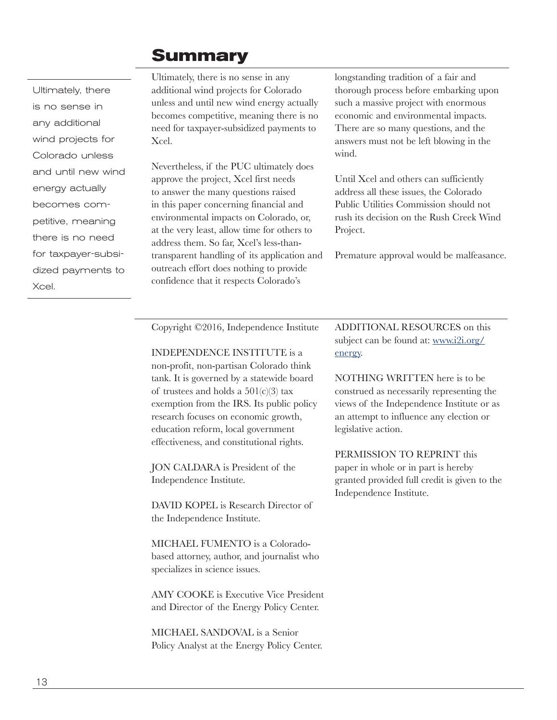#### **Summary**

Ultimately, there is no sense in any additional wind projects for Colorado unless and until new wind energy actually becomes competitive, meaning there is no need for taxpayer-subsidized payments to Xcel.

Ultimately, there is no sense in any additional wind projects for Colorado unless and until new wind energy actually becomes competitive, meaning there is no need for taxpayer-subsidized payments to Xcel.

Nevertheless, if the PUC ultimately does approve the project, Xcel first needs to answer the many questions raised in this paper concerning financial and environmental impacts on Colorado, or, at the very least, allow time for others to address them. So far, Xcel's less-thantransparent handling of its application and outreach effort does nothing to provide confidence that it respects Colorado's

longstanding tradition of a fair and thorough process before embarking upon such a massive project with enormous economic and environmental impacts. There are so many questions, and the answers must not be left blowing in the wind.

Until Xcel and others can sufficiently address all these issues, the Colorado Public Utilities Commission should not rush its decision on the Rush Creek Wind Project.

Premature approval would be malfeasance.

Copyright ©2016, Independence Institute

INDEPENDENCE INSTITUTE is a

non-profit, non-partisan Colorado think tank. It is governed by a statewide board of trustees and holds a  $501(c)(3)$  tax exemption from the IRS. Its public policy research focuses on economic growth, education reform, local government effectiveness, and constitutional rights.

JON CALDARA is President of the Independence Institute.

DAVID KOPEL is Research Director of the Independence Institute.

MICHAEL FUMENTO is a Coloradobased attorney, author, and journalist who specializes in science issues.

AMY COOKE is Executive Vice President and Director of the Energy Policy Center.

MICHAEL SANDOVAL is a Senior Policy Analyst at the Energy Policy Center.

ADDITIONAL RESOURCES on this subject can be found at: [www.i2i.org/](http://www.i2i.org/energy) [energy](http://www.i2i.org/energy).

NOTHING WRITTEN here is to be construed as necessarily representing the views of the Independence Institute or as an attempt to influence any election or legislative action.

PERMISSION TO REPRINT this paper in whole or in part is hereby granted provided full credit is given to the Independence Institute.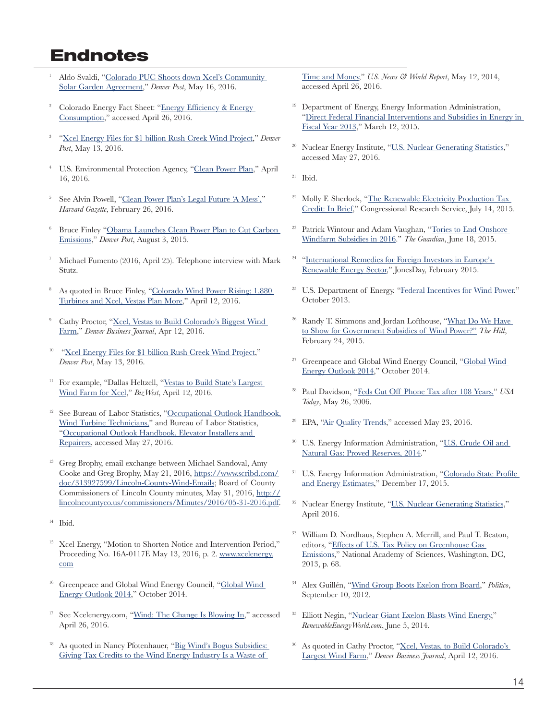#### **Endnotes**

- <sup>1</sup> Aldo Svaldi, "[Colorado PUC Shoots down Xcel's Community](http://www.denverpost.com/business/ci_29647370/colorado-puc-shoots-down-xcels-community-solar-garden)  [Solar Garden Agreement,](http://www.denverpost.com/business/ci_29647370/colorado-puc-shoots-down-xcels-community-solar-garden)" *Denver Post*, May 16, 2016.
- <sup>2</sup> Colorado Energy Fact Sheet: "[Energy Efficiency & Energy](http://swenergy.org/Data/Sites/1/media/documents/publications/factsheets/CO-Factsheet.pdf)  [Consumption,](http://swenergy.org/Data/Sites/1/media/documents/publications/factsheets/CO-Factsheet.pdf)" accessed April 26, 2016.
- <sup>3</sup> ["Xcel Energy Files for \\$1 billion Rush Creek Wind Project,](http://www.denverpost.com/2016/05/13/xcel-energy-files-for-1-billion-rush-creek-wind-project/)" *Denver Post*, May 13, 2016.
- <sup>4</sup> U.S. Environmental Protection Agency, ["Clean Power Plan](https://www.epa.gov/cleanpowerplan)," April 16, 2016.
- <sup>5</sup> See Alvin Powell, ["Clean Power Plan's Legal Future 'A Mess',"](http://news.harvard.edu/gazette/story/2016/02/clean-power-plans-legal-future-a-mess/) *Harvard Gazette*, February 26, 2016.
- <sup>6</sup> Bruce Finley ["Obama Launches Clean Power Plan to Cut Carbon](http://www.denverpost.com/politics/ci_28576006/obamas-clean-power-plan-expected-be-unveiled-monday)  [Emissions](http://www.denverpost.com/politics/ci_28576006/obamas-clean-power-plan-expected-be-unveiled-monday)," *Denver Post*, August 3, 2015.
- <sup>7</sup> Michael Fumento (2016, April 25). Telephone interview with Mark Stutz.
- <sup>8</sup> As quoted in Bruce Finley, ["Colorado Wind Power Rising; 1,880](http://www.denverpost.com/2016/04/12/colorado-wind-power-rising-1880-turbines-and-xcel-vestas-plan-more/) [Turbines and Xcel, Vestas Plan More](http://www.denverpost.com/2016/04/12/colorado-wind-power-rising-1880-turbines-and-xcel-vestas-plan-more/)," April 12, 2016.
- <sup>9</sup> Cathy Proctor, ["Xcel, Vestas to Build Colorado's Biggest Wind](http://www.bizjournals.com/denver/blog/earth_to_power/2016/04/xcel-vestas-announce-major-new-plan-to-create-wind.html)  [Farm,](http://www.bizjournals.com/denver/blog/earth_to_power/2016/04/xcel-vestas-announce-major-new-plan-to-create-wind.html)" *Denver Business Journal*, Apr 12, 2016.
- <sup>10</sup> "[Xcel Energy Files for \\$1 billion Rush Creek Wind Project](http://www.denverpost.com/2016/05/13/xcel-energy-files-for-1-billion-rush-creek-wind-project/)," *Denver Post*, May 13, 2016.
- <sup>11</sup> For example, "Dallas Heltzell, "Vestas to Build State's Largest [Wind Farm for Xcel,](http://bizwest.com/vestas-build-states-largest-wind-farm-xcel/)" *BizWest*, April 12, 2016.
- <sup>12</sup> See Bureau of Labor Statistics, "Occupational Outlook Handbook, [Wind Turbine Technicians,"](http://www.bls.gov/ooh/installation-maintenance-and-repair/wind-turbine-technicians.htm) and Bureau of Labor Statistics, ["Occupational Outlook Handbook, Elevator Installers and](http://www.bls.gov/ooh/construction-and-extraction/elevator-installers-and-repairers.htm)  [Repairers,](http://www.bls.gov/ooh/construction-and-extraction/elevator-installers-and-repairers.htm) accessed May 27, 2016.
- <sup>13</sup> Greg Brophy, email exchange between Michael Sandoval, Amy Cooke and Greg Brophy, May 21, 2016, [https://www.scribd.com/](https://www.scribd.com/doc/313927599/Lincoln-County-Wind-Emails) [doc/313927599/Lincoln-County-Wind-Emails;](https://www.scribd.com/doc/313927599/Lincoln-County-Wind-Emails) Board of County Commissioners of Lincoln County minutes, May 31, 2016, [http://](http://lincolncountyco.us/commissioners/Minutes/2016/05-31-2016.pdf) [lincolncountyco.us/commissioners/Minutes/2016/05-31-2016.pdf.](http://lincolncountyco.us/commissioners/Minutes/2016/05-31-2016.pdf)
- $14$  Ibid.
- <sup>15</sup> Xcel Energy, "Motion to Shorten Notice and Intervention Period," Proceeding No. 16A-0117E May 13, 2016, p. 2. [www.xcelenergy.](http://www.xcelenergy.com) [com](http://www.xcelenergy.com)
- <sup>16</sup> Greenpeace and [Global Wind](http://www.gwec.net/wp-content/uploads/2014/10/GWEO2014_WEB.pdf) Energy Council, "Global Wind [Energy Outlook 2014,](http://www.gwec.net/wp-content/uploads/2014/10/GWEO2014_WEB.pdf)" October 2014.
- <sup>17</sup> See Xcelenergy.com, "[Wind: The Change Is Blowing In,](https://www.xcelenergy.com/Energy_Portfolio/Renewable_Energy/Wind)" accessed April 26, 2016.
- As quoted in Nancy Pfotenhauer, "Big Wind's Bogus Subsidies: [Giving Tax Credits to the Wind Energy Industry Is a Waste of](http://www.usnews.com/opinion/blogs/nancy-pfotenhauer/2014/05/12/even-warren-buffet-admits-wind-energy-is-a-bad-investment)

[Time and Money,](http://www.usnews.com/opinion/blogs/nancy-pfotenhauer/2014/05/12/even-warren-buffet-admits-wind-energy-is-a-bad-investment)" *U.S. News & World Report*, May 12, 2014, accessed April 26, 2016.

- <sup>19</sup> Department of Energy, Energy Information Administration, ["Direct Federal Financial Interventions and Subsidies in Energy in](http://www.eia.gov/analysis/requests/subsidy/pdf/subsidy.pdf)  [Fiscal Year 2013,](http://www.eia.gov/analysis/requests/subsidy/pdf/subsidy.pdf)" March 12, 2015.
- Nuclear Energy Institute, ["U.S. Nuclear Generating Statistics](http://www.nei.org/Knowledge-Center/Nuclear-Statistics/US-Nuclear-Power-Plants/US-Nuclear-Generating-Statistics)," accessed May 27, 2016.
- $21$  Ibid.
- <sup>22</sup> Molly F. Sherlock, "The Renewable Electricity Production Tax [Credit: In Brief,](http://nationalaglawcenter.org/wp-content/uploads/assets/crs/R43453.pdf)" Congressional Research Service, July 14, 2015.
- <sup>23</sup> Patrick Wintour and Adam Vaughan, "Tories to End Onshore [Windfarm Subsidies in 2016](http://nationalaglawcenter.org/wp-content/uploads/assets/crs/R43453.pdf)." *The Guardian*, June 18, 2015.
- "International Remedies for Foreign Investors in Europe's [Renewable Energy Sector,](http://www.jonesday.com/international-remedies-for-foreign-investors-in-europes-renewable-energy-sector-02-19-2015)" JonesDay, February 2015.
- <sup>25</sup> U.S. Department of Energy, "[Federal Incentives for Wind Power,](http://www1.eere.energy.gov/wind/pdfs/57933_eere_wwpp_federal_incentives.pdf)" October 2013.
- Randy T. Simmons and Jordan Lofthouse, "What Do We Have [to Show for Government Subsidies of Wind Power?](http://thehill.com/blogs/pundits-blog/energy-environment/233562-what-do-we-have-to-show-for-government-subsidies-of)" *The Hill*, February 24, 2015.
- <sup>27</sup> Greenpeace and Global Wind Energy Council, "[Global Wind](http://www.gwec.net/wp-content/uploads/2014/10/GWEO2014_WEB.pdf)  [Energy Outlook 2014,](http://www.gwec.net/wp-content/uploads/2014/10/GWEO2014_WEB.pdf)" October 2014.
- <sup>28</sup> Paul Davidson, ["Feds Cut Off Phone Tax after 108 Years,"](http://usatoday30.usatoday.com/money/industries/telecom/2006-05-25-phone-tax_x.htm) *USA Today*, May 26, 2006.
- <sup>29</sup> EPA, "Air Quality Trends," accessed May 23, 2016.
- U.S. Energy Information Administration, "U.S. Crude Oil and [Natural Gas: Proved Reserves, 2014](https://www.eia.gov/naturalgas/crudeoilreserves/pdf/usreserves.pdf)."
- U.S. Energy Information Administration, "Colorado State Profile [and Energy Estimates,](https://www.eia.gov/state/analysis.cfm?sid=CO)" December 17, 2015.
- <sup>32</sup> Nuclear Energy Institute, ["U.S. Nuclear Generating Statistics](http://www.nei.org/Knowledge-Center/Nuclear-Statistics/US-Nuclear-Power-Plants/US-Nuclear-Generating-Statistics)," April 2016.
- <sup>33</sup> William D. Nordhaus, Stephen A. Merrill, and Paul T. Beaton, editors, ["Effects of U.S. Tax Policy on Greenhouse Gas](http://www.nap.edu/catalog/18299/effects-of-us-tax-policy-on-greenhouse-gas-emissions)  [Emissions](http://www.nap.edu/catalog/18299/effects-of-us-tax-policy-on-greenhouse-gas-emissions)," National Academy of Sciences, Washington, DC, 2013, p. 68.
- <sup>34</sup> Alex Guillén, "Wind Group Boots Exelon from Board," *Politico*, September 10, 2012.
- Elliott Negin, ["Nuclear Giant Exelon Blasts Wind Energy,](http://www.renewableenergyworld.com/articles/2014/06/nuclear-giant-exelon-blasts-wind-energy.html)" *RenewableEnergyWorld.com*, June 5, 2014.
- As quoted in Cathy Proctor, "Xcel, Vestas, to Build Colorado's [Largest Wind Farm](http://www.bizjournals.com/denver/blog/earth_to_power/2016/04/xcel-vestas-announce-major-new-plan-to-create-wind.html)," *Denver Business Journal*, April 12, 2016.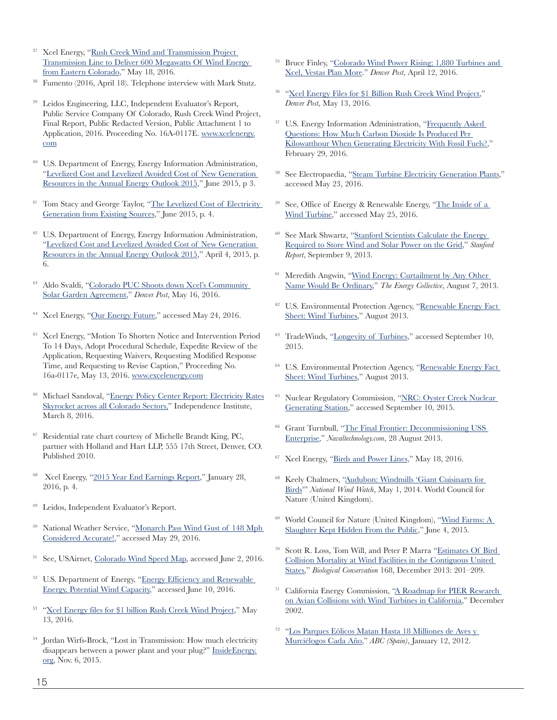- <sup>37</sup> Xcel Energy, ["Rush Creek Wind and Transmission Project](http://www.transmission.xcelenergy.com/staticfiles/microsites/Transmission/Files/PDF/Projects/CO/Rush%20Creek/CO-Rush-Creek-Wind-and-Transmission-Project-Fact-Sheet.pdf)  [Transmission Line to Deliver 600 Megawatts Of Wind Energy](http://www.transmission.xcelenergy.com/staticfiles/microsites/Transmission/Files/PDF/Projects/CO/Rush%20Creek/CO-Rush-Creek-Wind-and-Transmission-Project-Fact-Sheet.pdf)  [from Eastern Colorado](http://www.transmission.xcelenergy.com/staticfiles/microsites/Transmission/Files/PDF/Projects/CO/Rush%20Creek/CO-Rush-Creek-Wind-and-Transmission-Project-Fact-Sheet.pdf)," May 18, 2016.
- <sup>38</sup> Fumento (2016, April 18). Telephone interview with Mark Stutz.
- Leidos Engineering, LLC, Independent Evaluator's Report, Public Service Company Of Colorado, Rush Creek Wind Project, Final Report, Public Redacted Version, Public Attachment 1 to Application, 2016. Proceeding No. 16A-0117E. [www.xcelenergy.](http://www.xcelenergy.com ) [com](http://www.xcelenergy.com )
- <sup>40</sup> U.S. Department of Energy, Energy Information Administration, ["Levelized Cost and Levelized Avoided Cost of New Generation](https://www.eia.gov/forecasts/aeo/pdf/electricity_generation.pdf)  [Resources in the Annual Energy Outlook 2015](https://www.eia.gov/forecasts/aeo/pdf/electricity_generation.pdf)," June 2015, p 3.
- <sup>41</sup> Tom Stacy and George Taylor, "The Levelized Cost of Electricity [Generation from Existing Sources,](http://instituteforenergyresearch.org/wp-content/uploads/2015/06/ier_lcoe_2015.pdf)" June 2015, p. 4.
- <sup>42</sup> U.S. Department of Energy, Energy Information Administration, ["Levelized Cost and Levelized Avoided Cost of New Generation](https://www.eia.gov/forecasts/aeo/electricity_generation.cfm)  [Resources in the Annual Energy Outlook 2015](https://www.eia.gov/forecasts/aeo/electricity_generation.cfm)," April 4, 2015, p. 6.
- <sup>43</sup> Aldo Svaldi, "Colorado PUC Shoots down Xcel's Community [Solar Garden Agreement,](http://www.denverpost.com/business/ci_29647370/colorado-puc-shoots-down-xcels-community-solar-garden)" *Denver Post*, May 16, 2016.
- Xcel Energy, ["Our Energy Future](http://www.transmission.xcelenergy.com/staticfiles/microsites/Transmission/Files/PDF/Projects/CO/Rush%20Creek/Our-Energy-Future.pdf)," accessed May 24, 2016.
- <sup>45</sup> Xcel Energy, "Motion To Shorten Notice and Intervention Period To 14 Days, Adopt Procedural Schedule, Expedite Review of the Application, Requesting Waivers, Requesting Modified Response Time, and Requesting to Revise Caption," Proceeding No. 16a-0117e, May 13, 2016. [www.excelenergy.com](http://www.excelenergy.com)
- <sup>46</sup> Michael Sandoval, "[Energy Policy Center Report: Electricity Rates](https://www.i2i.org/energy-policy-center-report-electricity-rates-skyrocket-across-all-colorado-sectors/)  [Skyrocket across all Colorado Sectors,"](https://www.i2i.org/energy-policy-center-report-electricity-rates-skyrocket-across-all-colorado-sectors/) Independence Institute, March 8, 2016.
- <sup>47</sup> Residential rate chart courtesy of Michelle Brandt King, PC, partner with Holland and Hart LLP, 555 17th Street, Denver, CO. Published 2010.
- 48 Xcel Energy, "[2015 Year End Earnings Report,](http://investors.xcelenergy.com/Cache/1500080126.PDF?O=PDF&T=&Y=&D=&FID=1500080126&iid=4025308)" January 28, 2016, p. 4.
- <sup>49</sup> Leidos, Independent Evaluator's Report.
- National Weather Service, "Monarch Pass Wind Gust of 148 Mph [Considered Accurate!,](http://www.weather.gov/pub/MYPwindgust)" accessed May 29, 2016.
- <sup>51</sup> See, USAirnet, [Colorado Wind Speed Map,](http://www.usairnet.com/weather/maps/current/colorado/wind-speed/) accessed June 2, 2016.
- <sup>52</sup> U.S. Department of Energy, "Energy Efficiency and Renewable [Energy, Potential Wind Capacity](http://apps2.eere.energy.gov/wind/windexchange/windmaps/resource_potential.asp)," accessed June 10, 2016.
- <sup>53</sup> ["Xcel Energy files for \\$1 billion Rush Creek Wind Project](http://www.denverpost.com/2016/05/13/xcel-energy-files-for-1-billion-rush-creek-wind-project/)," May 13, 2016.
- <sup>54</sup> Jordan Wirfs-Brock, "Lost in Transmission: How much electricity disappears between a power plant and your plug?" [InsideEnergy.](http://InsideEnergy.org) [org,](http://InsideEnergy.org) Nov. 6, 2015.
- <sup>55</sup> Bruce Finley, ["Colorado Wind Power Rising; 1,880 Turbines and](http://www.denverpost.com/news/ci_29756225/study-wind-power-increasingly-overshadows-fossil-fuels-colorado)  [Xcel, Vestas Plan More](http://www.denverpost.com/news/ci_29756225/study-wind-power-increasingly-overshadows-fossil-fuels-colorado)." *Denver Post*, April 12, 2016.
- <sup>56</sup> "[Xcel Energy Files for \\$1 Billion Rush Creek Wind Project](http://www.denverpost.com/2016/05/13/xcel-energy-files-for-1-billion-rush-creek-wind-project/)," *Denver Post*, May 13, 2016.
- <sup>57</sup> U.S. Energy Information Administration, "Frequently Asked [Questions: How Much Carbon Dioxide Is Produced Per](https://www.eia.gov/tools/faqs/faq.cfm?id=74&t=11)  [Kilowatthour When Generating Electricity With Fossil Fuels?,](https://www.eia.gov/tools/faqs/faq.cfm?id=74&t=11)" February 29, 2016.
- <sup>58</sup> See Electropaedia, ["Steam Turbine Electricity Generation Plants,](http://www.mpoweruk.com/steam_turbines.htm)" accessed May 23, 2016.
- <sup>59</sup> See, Office of Energy & Renewable Energy, "The Inside of a [Wind Turbine,](http://energy.gov/eere/wind/inside-wind-turbine-0)" accessed May 25, 2016.
- <sup>60</sup> See Mark Shwartz, "[Stanford Scientists Calculate the Energy](http://news.stanford.edu/news/2013/september/curtail-energy-storage-090913.html)  [Required to Store Wind and Solar Power on the Grid](http://news.stanford.edu/news/2013/september/curtail-energy-storage-090913.html)," *Stanford Report*, September 9, 2013.
- <sup>61</sup> Meredith Angwin, "Wind Energy: Curtailment by Any Other [Name Would Be Ordinary](file:///C:\Users\Lera\Downloads\:%20http:\www.theenergycollective.com\meredith-angwin\258051\curtailment-any-other-name-would-be-ordinary)," *The Energy Collective*, August 7, 2013.
- <sup>62</sup> U.S. Environmental Protection Agency, "[Renewable Energy Fact](http://water.epa.gov/scitech/wastetech/upload/Wind-Power.pdf)  [Sheet: Wind Turbines,](http://water.epa.gov/scitech/wastetech/upload/Wind-Power.pdf)" August 2013.
- <sup>63</sup> TradeWinds, "[Longevity of Turbines,](http://tradewind.weebly.com/longevity-of-turbines.html)" accessed September 10, 2015.
- <sup>64</sup> U.S. Environmental Protection Agency, "[Renewable Energy Fact](http://water.epa.gov/scitech/wastetech/upload/Wind-Power.pdf)  [Sheet: Wind Turbines,](http://water.epa.gov/scitech/wastetech/upload/Wind-Power.pdf)" August 2013.
- <sup>65</sup> Nuclear Regulatory Commission, "NRC: Oyster Creek Nuclear [Generating Station,](http://www.nrc.gov/info-finder/reactor/oc.html)" accessed September 10, 2015.
- <sup>66</sup> Grant Turnbull, "[The Final Frontier: Decommissioning USS](http://www.naval-technology.com/features/feature-the-final-frontier-decommissioning-uss-enterprise/)  [Enterprise,](http://www.naval-technology.com/features/feature-the-final-frontier-decommissioning-uss-enterprise/)" *Navaltechnology.com*, 28 August 2013.
- <sup>67</sup> Xcel Energy, "[Birds and Power Lines,](http://www.transmission.xcelenergy.com/staticfiles/microsites/Transmission/Files/PDF/Projects/CO/Birds-and-Power-Lines-Fact-Sheet.pdf)" May 18, 2016.
- <sup>68</sup> Keely Chalmers, ["Audubon: Windmills 'Giant Cuisinarts for](https://www.wind-watch.org/news/2014/05/02/audubon-windmills-giant-cuisinarts-for-birds/)  [Birds](https://www.wind-watch.org/news/2014/05/02/audubon-windmills-giant-cuisinarts-for-birds/)'" *National Wind Watch*, May 1, 2014. World Council for Nature (United Kingdom).
- <sup>69</sup> World Council for Nature (United Kingdom), ["Wind Farms: A](file:///C:\Users\Lera\Downloads\World%20Council%20for%20Nature%20(United%20Kingdom),)  [Slaughter Kept Hidden From the Public,](file:///C:\Users\Lera\Downloads\World%20Council%20for%20Nature%20(United%20Kingdom),)" June 4, 2015.
- <sup>70</sup> Scott R. Loss, Tom Will, and Peter P. Marra "[Estimates Of Bird](http://keepkentscenic.org/wp-content/uploads/2015/05/Monopoles.pdf)  [Collision Mortality at Wind Facilities in the Contiguous United](http://keepkentscenic.org/wp-content/uploads/2015/05/Monopoles.pdf)  [States,](http://keepkentscenic.org/wp-content/uploads/2015/05/Monopoles.pdf)" *Biological Conservation* 168, December 2013: 201–209.
- <sup>71</sup> California Energy Commission, ["A Roadmap for PIER Research](http://www.energy.ca.gov/reports/2002-12-24_500-02-070F.PDF)  [on Avian Collisions with Wind Turbines in California,](http://www.energy.ca.gov/reports/2002-12-24_500-02-070F.PDF)" December 2002.
- <sup>72</sup> "[Los Parques Eólicos Matan Hasta 18 Milliones de Aves y](file:///C:\Users\Lera\Downloads\:%20http:\www.abc.es\20120112\natural-biodiversidad\abci-parques-eolicos-aves-201201121310.html)  [Murciélogos Cada Año,](file:///C:\Users\Lera\Downloads\:%20http:\www.abc.es\20120112\natural-biodiversidad\abci-parques-eolicos-aves-201201121310.html)" *ABC (Spain)*, January 12, 2012.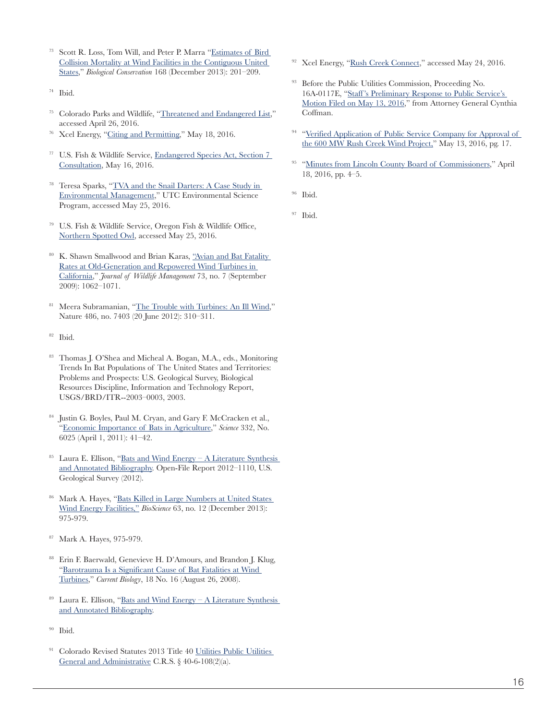- <sup>73</sup> Scott R. Loss, Tom Will, and Peter P. Marra ["Estimates of Bird](http://keepkentscenic.org/wp-content/uploads/2015/05/Monopoles.pdf)  [Collision Mortality at Wind Facilities in the Contiguous United](http://keepkentscenic.org/wp-content/uploads/2015/05/Monopoles.pdf)  [States](http://keepkentscenic.org/wp-content/uploads/2015/05/Monopoles.pdf)," *Biological Conservation* 168 (December 2013): 201–209.
- <sup>74</sup> Ibid.
- <sup>75</sup> Colorado Parks and Wildlife, ["Threatened and Endangered List](http://cpw.state.co.us/learn/Pages/SOC-ThreatenedEndangeredList.aspx)," accessed April 26, 2016.
- <sup>76</sup> Xcel Energy, ["Citing and Permitting](http://www.transmission.xcelenergy.com/staticfiles/microsites/Transmission/Files/PDF/Projects/CO/Siting-and-Permitting-Fact-Sheet.pdf)," May 18, 2016.
- <sup>77</sup> U.S. Fish & Wildlife Service, [Endangered Species Act, Section 7](https://www.fws.gov/Midwest/endangered/section7/index.html) [Consultation,](https://www.fws.gov/Midwest/endangered/section7/index.html) May 16, 2016.
- <sup>78</sup> Teresa Sparks, "[TVA and the Snail Darters: A Case Study in](http://web2.utc.edu/~John-Tucker/Courses/esc430/esc430mat/darter/tellico.html)  [Environmental Management,](http://web2.utc.edu/~John-Tucker/Courses/esc430/esc430mat/darter/tellico.html)" UTC Environmental Science Program, accessed May 25, 2016.
- <sup>79</sup> U.S. Fish & Wildlife Service, Oregon Fish & Wildlife Office, [Northern Spotted Owl,](http://www.fws.gov/oregonfwo/articles.cfm?id=149489595) accessed May 25, 2016.
- <sup>80</sup> K. Shawn Smallwood and Brian Karas, ["Avian and Bat Fatality](file:///C:\Users\Lera\Downloads\:%20http:\www.bioone.org\doi\abs\10.2193\2008-464)  [Rates at Old-Generation and Repowered Wind Turbines in](file:///C:\Users\Lera\Downloads\:%20http:\www.bioone.org\doi\abs\10.2193\2008-464)  [California,](file:///C:\Users\Lera\Downloads\:%20http:\www.bioone.org\doi\abs\10.2193\2008-464)" *Journal of Wildlife Management* 73, no. 7 (September 2009): 1062–1071.
- <sup>81</sup> Meera Subramanian, ["The Trouble with Turbines: An Ill Wind](http://www.nature.com/news/the-trouble-with-turbines-an-ill-wind-1.10849)," Nature 486, no. 7403 (20 June 2012): 310–311.
- <sup>82</sup> Ibid.
- <sup>83</sup> Thomas J. O'Shea and Micheal A. Bogan, M.A., eds., Monitoring Trends In Bat Populations of The United States and Territories: Problems and Prospects: U.S. Geological Survey, Biological Resources Discipline, Information and Technology Report, USGS/BRD/ITR--2003–0003, 2003.
- <sup>84</sup> Justin G. Boyles, Paul M. Cryan, and Gary F. McCracken et al., ["Economic Importance of Bats in Agriculture,](http://science.sciencemag.org/content/332/6025/41)" *Science* 332, No. 6025 (April 1, 2011): 41–42.
- <sup>85</sup> Laura E. Ellison, "[Bats and Wind Energy A Literature Synthesis](http://pubs.usgs.gov/of/2012/1110/OF12-1110.pdf)  [and Annotated Bibliography](http://pubs.usgs.gov/of/2012/1110/OF12-1110.pdf). Open-File Report 2012–1110, U.S. Geological Survey (2012).
- <sup>86</sup> Mark A. Hayes, "[Bats Killed in Large Numbers at United States](http://bioscience.oxfordjournals.org/content/63/12/975.full.pdf+html)  [Wind Energy Facilities,"](http://bioscience.oxfordjournals.org/content/63/12/975.full.pdf+html) *BioScience* 63, no. 12 (December 2013): 975-979.
- <sup>87</sup> Mark A. Hayes, 975-979.
- <sup>88</sup> Erin F. Baerwald, Genevieve H. D'Amours, and Brandon J. Klug, ["Barotrauma Is a Significant Cause of Bat Fatalities at Wind](http://www.batsandwind.org/pdf/baerwald%20et%20al%20current%20biology%202008.pdf)  [Turbines,](http://www.batsandwind.org/pdf/baerwald%20et%20al%20current%20biology%202008.pdf)" *Current Biology*, 18 No. 16 (August 26, 2008).
- <sup>89</sup> Laura E. Ellison, "Bats and Wind Energy A Literature Synthesis" [and Annotated Bibliography](http://pubs.usgs.gov/of/2012/1110/OF12-1110.pdf).
- <sup>90</sup> Ibid.
- <sup>91</sup> Colorado Revised Statutes 2013 Title 40 Utilities Public Utilities [General and Administrative](http://tornado.state.co.us/gov_dir/leg_dir/olls/2013TitlePrintouts/CRS%20Title%2040%20%282013%29.pdf) C.R.S. § 40-6-108(2)(a).
- <sup>92</sup> Xcel Energy, ["Rush Creek Connect](http://www.transmission.xcelenergy.com/Projects/Colorado/Rush-Creek-Connect)," accessed May 24, 2016.
- <sup>93</sup> Before the Public Utilities Commission, Proceeding No. 16A-0117E, ["Staff 's Preliminary Response to Public Service's](https://www.scribd.com/doc/313249979/20160516-Staff-Preliminary-Response)  [Motion Filed on May 13, 2016,](https://www.scribd.com/doc/313249979/20160516-Staff-Preliminary-Response)" from Attorney General Cynthia Coffman.
- <sup>94</sup> "Verified Application of Public Service Company for Approval of [the 600 MW Rush Creek Wind Project,](https://www.scribd.com/doc/313249765/Application-for-3660-Ownership-and-CPCNs-FINAL)" May 13, 2016, pg. 17.
- <sup>95</sup> ["Minutes from Lincoln County Board of Commissioners](https://www.scribd.com/doc/313249581/Lincoln-County-BOCC-Minutes-04-18-2016)," April 18, 2016, pp. 4–5.
- <sup>96</sup> Ibid.
- <sup>97</sup> Ibid.